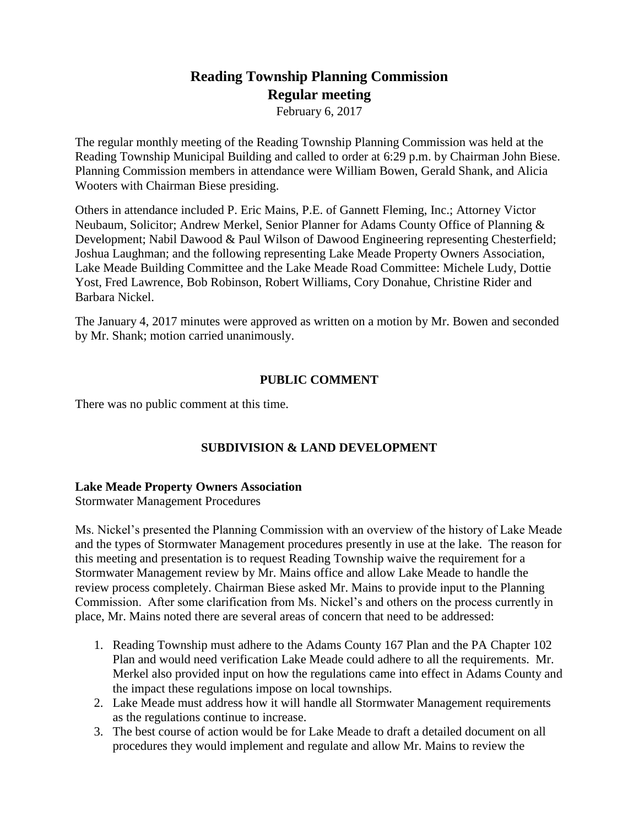# **Reading Township Planning Commission Regular meeting**

February 6, 2017

The regular monthly meeting of the Reading Township Planning Commission was held at the Reading Township Municipal Building and called to order at 6:29 p.m. by Chairman John Biese. Planning Commission members in attendance were William Bowen, Gerald Shank, and Alicia Wooters with Chairman Biese presiding.

Others in attendance included P. Eric Mains, P.E. of Gannett Fleming, Inc.; Attorney Victor Neubaum, Solicitor; Andrew Merkel, Senior Planner for Adams County Office of Planning & Development; Nabil Dawood & Paul Wilson of Dawood Engineering representing Chesterfield; Joshua Laughman; and the following representing Lake Meade Property Owners Association, Lake Meade Building Committee and the Lake Meade Road Committee: Michele Ludy, Dottie Yost, Fred Lawrence, Bob Robinson, Robert Williams, Cory Donahue, Christine Rider and Barbara Nickel.

The January 4, 2017 minutes were approved as written on a motion by Mr. Bowen and seconded by Mr. Shank; motion carried unanimously.

### **PUBLIC COMMENT**

There was no public comment at this time.

# **SUBDIVISION & LAND DEVELOPMENT**

### **Lake Meade Property Owners Association**

Stormwater Management Procedures

Ms. Nickel's presented the Planning Commission with an overview of the history of Lake Meade and the types of Stormwater Management procedures presently in use at the lake. The reason for this meeting and presentation is to request Reading Township waive the requirement for a Stormwater Management review by Mr. Mains office and allow Lake Meade to handle the review process completely. Chairman Biese asked Mr. Mains to provide input to the Planning Commission. After some clarification from Ms. Nickel's and others on the process currently in place, Mr. Mains noted there are several areas of concern that need to be addressed:

- 1. Reading Township must adhere to the Adams County 167 Plan and the PA Chapter 102 Plan and would need verification Lake Meade could adhere to all the requirements. Mr. Merkel also provided input on how the regulations came into effect in Adams County and the impact these regulations impose on local townships.
- 2. Lake Meade must address how it will handle all Stormwater Management requirements as the regulations continue to increase.
- 3. The best course of action would be for Lake Meade to draft a detailed document on all procedures they would implement and regulate and allow Mr. Mains to review the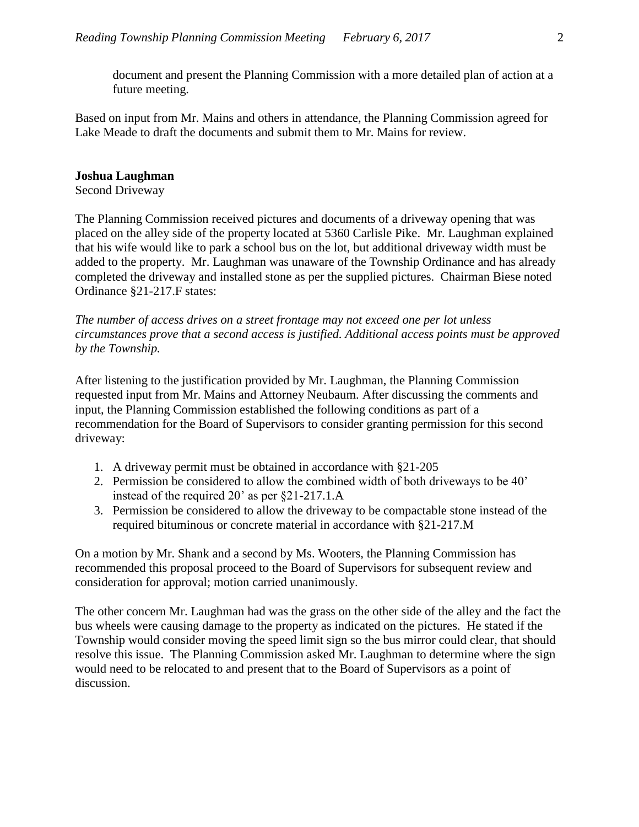document and present the Planning Commission with a more detailed plan of action at a future meeting.

Based on input from Mr. Mains and others in attendance, the Planning Commission agreed for Lake Meade to draft the documents and submit them to Mr. Mains for review.

#### **Joshua Laughman**

Second Driveway

The Planning Commission received pictures and documents of a driveway opening that was placed on the alley side of the property located at 5360 Carlisle Pike. Mr. Laughman explained that his wife would like to park a school bus on the lot, but additional driveway width must be added to the property. Mr. Laughman was unaware of the Township Ordinance and has already completed the driveway and installed stone as per the supplied pictures. Chairman Biese noted Ordinance §21-217.F states:

*The number of access drives on a street frontage may not exceed one per lot unless circumstances prove that a second access is justified. Additional access points must be approved by the Township.*

After listening to the justification provided by Mr. Laughman, the Planning Commission requested input from Mr. Mains and Attorney Neubaum. After discussing the comments and input, the Planning Commission established the following conditions as part of a recommendation for the Board of Supervisors to consider granting permission for this second driveway:

- 1. A driveway permit must be obtained in accordance with §21-205
- 2. Permission be considered to allow the combined width of both driveways to be 40' instead of the required 20' as per §21-217.1.A
- 3. Permission be considered to allow the driveway to be compactable stone instead of the required bituminous or concrete material in accordance with §21-217.M

On a motion by Mr. Shank and a second by Ms. Wooters, the Planning Commission has recommended this proposal proceed to the Board of Supervisors for subsequent review and consideration for approval; motion carried unanimously.

The other concern Mr. Laughman had was the grass on the other side of the alley and the fact the bus wheels were causing damage to the property as indicated on the pictures. He stated if the Township would consider moving the speed limit sign so the bus mirror could clear, that should resolve this issue. The Planning Commission asked Mr. Laughman to determine where the sign would need to be relocated to and present that to the Board of Supervisors as a point of discussion.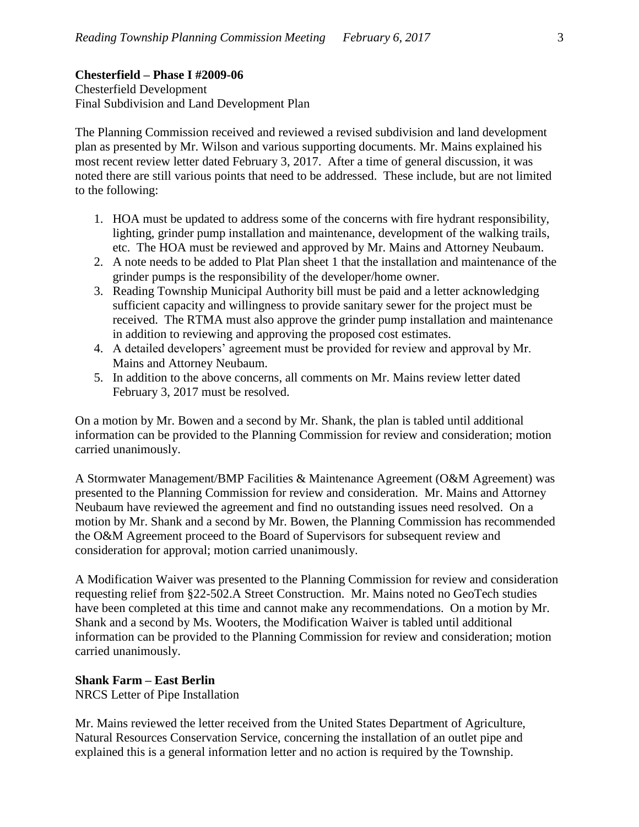# **Chesterfield – Phase I #2009-06**

Chesterfield Development Final Subdivision and Land Development Plan

The Planning Commission received and reviewed a revised subdivision and land development plan as presented by Mr. Wilson and various supporting documents. Mr. Mains explained his most recent review letter dated February 3, 2017. After a time of general discussion, it was noted there are still various points that need to be addressed. These include, but are not limited to the following:

- 1. HOA must be updated to address some of the concerns with fire hydrant responsibility, lighting, grinder pump installation and maintenance, development of the walking trails, etc. The HOA must be reviewed and approved by Mr. Mains and Attorney Neubaum.
- 2. A note needs to be added to Plat Plan sheet 1 that the installation and maintenance of the grinder pumps is the responsibility of the developer/home owner.
- 3. Reading Township Municipal Authority bill must be paid and a letter acknowledging sufficient capacity and willingness to provide sanitary sewer for the project must be received. The RTMA must also approve the grinder pump installation and maintenance in addition to reviewing and approving the proposed cost estimates.
- 4. A detailed developers' agreement must be provided for review and approval by Mr. Mains and Attorney Neubaum.
- 5. In addition to the above concerns, all comments on Mr. Mains review letter dated February 3, 2017 must be resolved.

On a motion by Mr. Bowen and a second by Mr. Shank, the plan is tabled until additional information can be provided to the Planning Commission for review and consideration; motion carried unanimously.

A Stormwater Management/BMP Facilities & Maintenance Agreement (O&M Agreement) was presented to the Planning Commission for review and consideration. Mr. Mains and Attorney Neubaum have reviewed the agreement and find no outstanding issues need resolved. On a motion by Mr. Shank and a second by Mr. Bowen, the Planning Commission has recommended the O&M Agreement proceed to the Board of Supervisors for subsequent review and consideration for approval; motion carried unanimously.

A Modification Waiver was presented to the Planning Commission for review and consideration requesting relief from §22-502.A Street Construction. Mr. Mains noted no GeoTech studies have been completed at this time and cannot make any recommendations. On a motion by Mr. Shank and a second by Ms. Wooters, the Modification Waiver is tabled until additional information can be provided to the Planning Commission for review and consideration; motion carried unanimously.

# **Shank Farm – East Berlin**

NRCS Letter of Pipe Installation

Mr. Mains reviewed the letter received from the United States Department of Agriculture, Natural Resources Conservation Service, concerning the installation of an outlet pipe and explained this is a general information letter and no action is required by the Township.